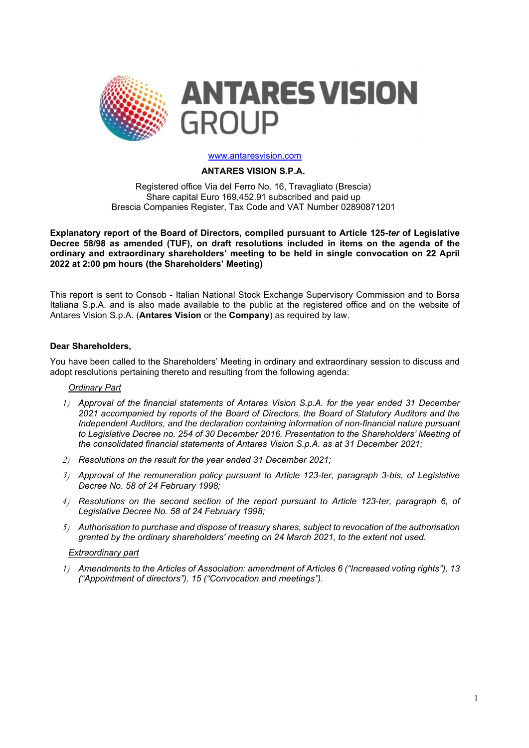

#### www.antaresvision.com

### ANTARES VISION S.P.A.

Registered office Via del Ferro No. 16, Travagliato (Brescia) Share capital Euro 169,452.91 subscribed and paid up Brescia Companies Register, Tax Code and VAT Number 02890871201

Explanatory report of the Board of Directors, compiled pursuant to Article 125-ter of Legislative Decree 58/98 as amended (TUF), on draft resolutions included in items on the agenda of the ordinary and extraordinary shareholders' meeting to be held in single convocation on 22 April 2022 at 2:00 pm hours (the Shareholders' Meeting)

This report is sent to Consob - Italian National Stock Exchange Supervisory Commission and to Borsa Italiana S.p.A. and is also made available to the public at the registered office and on the website of Antares Vision S.p.A. (Antares Vision or the Company) as required by law.

### Dear Shareholders,

You have been called to the Shareholders' Meeting in ordinary and extraordinary session to discuss and adopt resolutions pertaining thereto and resulting from the following agenda:

#### Ordinary Part

- 1) Approval of the financial statements of Antares Vision S.p.A. for the year ended 31 December 2021 accompanied by reports of the Board of Directors, the Board of Statutory Auditors and the Independent Auditors, and the declaration containing information of non-financial nature pursuant to Legislative Decree no. 254 of 30 December 2016. Presentation to the Shareholders' Meeting of the consolidated financial statements of Antares Vision S.p.A. as at 31 December 2021;
- 2) Resolutions on the result for the year ended 31 December 2021;
- 3) Approval of the remuneration policy pursuant to Article 123-ter, paragraph 3-bis, of Legislative Decree No. 58 of 24 February 1998;
- 4) Resolutions on the second section of the report pursuant to Article 123-ter, paragraph 6, of Legislative Decree No. 58 of 24 February 1998;
- 5) Authorisation to purchase and dispose of treasury shares, subject to revocation of the authorisation granted by the ordinary shareholders' meeting on 24 March 2021, to the extent not used.

#### Extraordinary part

1) Amendments to the Articles of Association: amendment of Articles 6 ("Increased voting rights"), 13 ("Appointment of directors"), 15 ("Convocation and meetings").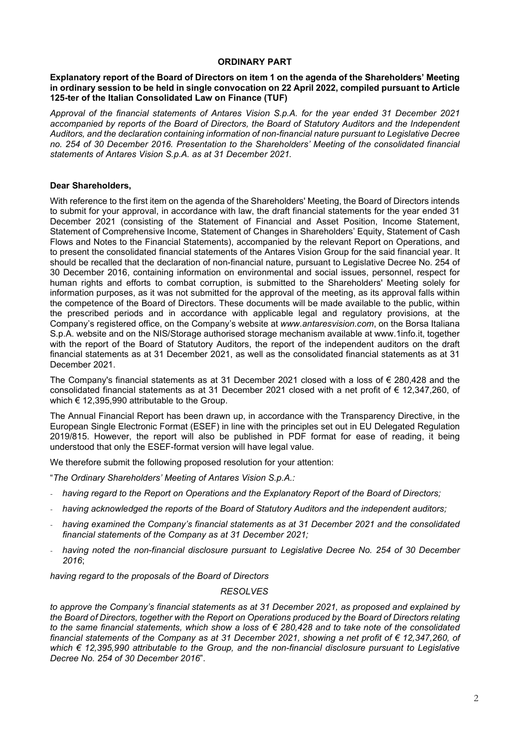## ORDINARY PART

## Explanatory report of the Board of Directors on item 1 on the agenda of the Shareholders' Meeting in ordinary session to be held in single convocation on 22 April 2022, compiled pursuant to Article 125-ter of the Italian Consolidated Law on Finance (TUF)

Approval of the financial statements of Antares Vision S.p.A. for the year ended 31 December 2021 accompanied by reports of the Board of Directors, the Board of Statutory Auditors and the Independent Auditors, and the declaration containing information of non-financial nature pursuant to Legislative Decree no. 254 of 30 December 2016. Presentation to the Shareholders' Meeting of the consolidated financial statements of Antares Vision S.p.A. as at 31 December 2021.

# Dear Shareholders,

With reference to the first item on the agenda of the Shareholders' Meeting, the Board of Directors intends to submit for your approval, in accordance with law, the draft financial statements for the year ended 31 December 2021 (consisting of the Statement of Financial and Asset Position, Income Statement, Statement of Comprehensive Income, Statement of Changes in Shareholders' Equity, Statement of Cash Flows and Notes to the Financial Statements), accompanied by the relevant Report on Operations, and to present the consolidated financial statements of the Antares Vision Group for the said financial year. It should be recalled that the declaration of non-financial nature, pursuant to Legislative Decree No. 254 of 30 December 2016, containing information on environmental and social issues, personnel, respect for human rights and efforts to combat corruption, is submitted to the Shareholders' Meeting solely for information purposes, as it was not submitted for the approval of the meeting, as its approval falls within the competence of the Board of Directors. These documents will be made available to the public, within the prescribed periods and in accordance with applicable legal and regulatory provisions, at the Company's registered office, on the Company's website at www.antaresvision.com, on the Borsa Italiana S.p.A. website and on the NIS/Storage authorised storage mechanism available at www.1info.it, together with the report of the Board of Statutory Auditors, the report of the independent auditors on the draft financial statements as at 31 December 2021, as well as the consolidated financial statements as at 31 December 2021.

The Company's financial statements as at 31 December 2021 closed with a loss of  $\epsilon$  280,428 and the consolidated financial statements as at 31 December 2021 closed with a net profit of € 12,347,260, of which € 12,395,990 attributable to the Group.

The Annual Financial Report has been drawn up, in accordance with the Transparency Directive, in the European Single Electronic Format (ESEF) in line with the principles set out in EU Delegated Regulation 2019/815. However, the report will also be published in PDF format for ease of reading, it being understood that only the ESEF-format version will have legal value.

We therefore submit the following proposed resolution for your attention:

"The Ordinary Shareholders' Meeting of Antares Vision S.p.A.:

- having regard to the Report on Operations and the Explanatory Report of the Board of Directors;
- having acknowledged the reports of the Board of Statutory Auditors and the independent auditors;
- having examined the Company's financial statements as at 31 December 2021 and the consolidated financial statements of the Company as at 31 December 2021;
- having noted the non-financial disclosure pursuant to Legislative Decree No. 254 of 30 December 2016;

having regard to the proposals of the Board of Directors

## RESOLVES

to approve the Company's financial statements as at 31 December 2021, as proposed and explained by the Board of Directors, together with the Report on Operations produced by the Board of Directors relating to the same financial statements, which show a loss of  $\epsilon$  280,428 and to take note of the consolidated financial statements of the Company as at 31 December 2021, showing a net profit of € 12,347,260, of which € 12,395,990 attributable to the Group, and the non-financial disclosure pursuant to Legislative Decree No. 254 of 30 December 2016".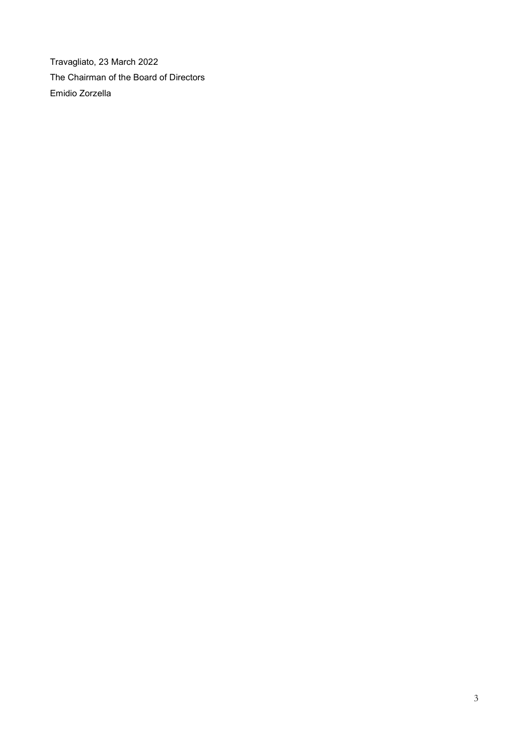Travagliato, 23 March 2022 The Chairman of the Board of Directors Emidio Zorzella